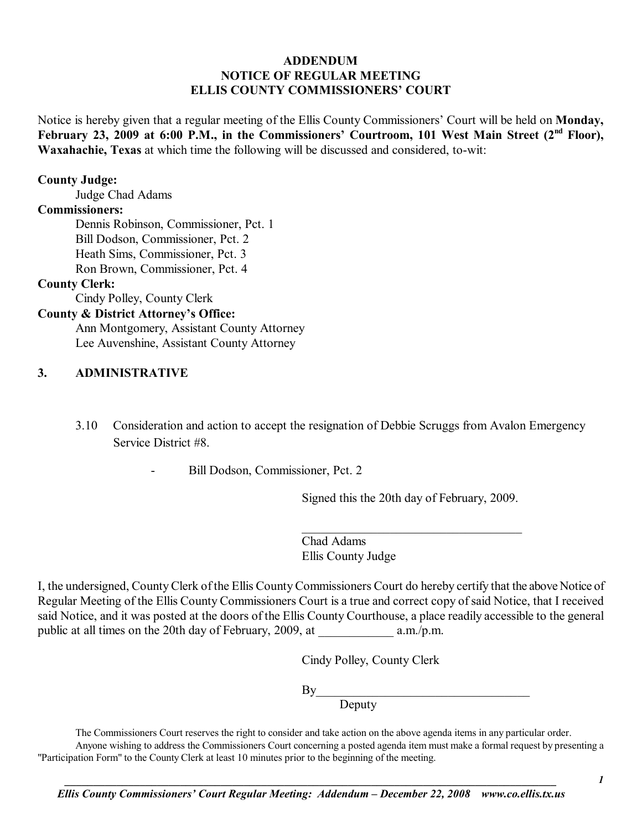# **ADDENDUM NOTICE OF REGULAR MEETING ELLIS COUNTY COMMISSIONERS' COURT**

Notice is hereby given that a regular meeting of the Ellis County Commissioners' Court will be held on **Monday**, February 23, 2009 at 6:00 P.M., in the Commissioners' Courtroom, 101 West Main Street (2<sup>nd</sup> Floor), **Waxahachie, Texas** at which time the following will be discussed and considered, to-wit:

### **County Judge:**

Judge Chad Adams

### **Commissioners:**

 Dennis Robinson, Commissioner, Pct. 1 Bill Dodson, Commissioner, Pct. 2 Heath Sims, Commissioner, Pct. 3 Ron Brown, Commissioner, Pct. 4

### **County Clerk:**

Cindy Polley, County Clerk

# **County & District Attorney's Office:**

 Ann Montgomery, Assistant County Attorney Lee Auvenshine, Assistant County Attorney

#### **3. ADMINISTRATIVE**

- 3.10 Consideration and action to accept the resignation of Debbie Scruggs from Avalon Emergency Service District #8.
	- Bill Dodson, Commissioner, Pct. 2

Signed this the 20th day of February, 2009.

 $\mathcal{L}_\text{max}$  , and the set of the set of the set of the set of the set of the set of the set of the set of the set of the set of the set of the set of the set of the set of the set of the set of the set of the set of the

Chad Adams Ellis County Judge

I, the undersigned, County Clerk of the Ellis County Commissioners Court do hereby certify that the above Notice of Regular Meeting of the Ellis County Commissioners Court is a true and correct copy of said Notice, that I received said Notice, and it was posted at the doors of the Ellis County Courthouse, a place readily accessible to the general public at all times on the 20th day of February, 2009, at a.m./p.m.

Cindy Polley, County Clerk

 $By$ 

**Deputy** 

The Commissioners Court reserves the right to consider and take action on the above agenda items in any particular order.

 Anyone wishing to address the Commissioners Court concerning a posted agenda item must make a formal request by presenting a "Participation Form" to the County Clerk at least 10 minutes prior to the beginning of the meeting.

*1*